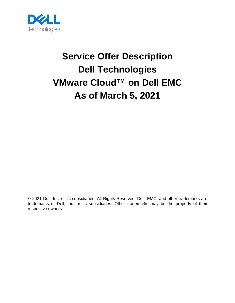

# **Service Offer Description Dell Technologies VMware Cloud™ on Dell EMC As of March 5, 2021**

© 2021 Dell, Inc. or its subsidiaries. All Rights Reserved. Dell, EMC, and other trademarks are trademarks of Dell, Inc. or its subsidiaries. Other trademarks may be the property of their respective owners.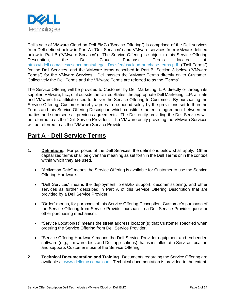

Dell's sale of VMware Cloud on Dell EMC ("Service Offering") is comprised of the Dell services from Dell defined below in Part A ("Dell Services") and VMware services from VMware defined below in Part B ("VMware Services"). The Service Offering is subject to this Service Offering Description, the Dell Cloud Purchase Terms located at: [https://i.dell.com/sites/csdocuments/Legal\\_Docs/en/us/cloud-purchase-terms.pdf](https://i.dell.com/sites/csdocuments/Legal_Docs/en/us/cloud-purchase-terms.pdf) ("Dell Terms") for the Dell Services, and the VMware terms described in Part B, Section 3 below ("VMware Terms") for the VMware Services. Dell passes the VMware Terms directly on to Customer. Collectively the Dell Terms and the VMware Terms are referred to as the "Terms".

The Service Offering will be provided to Customer by Dell Marketing, L.P. directly or through its supplier, VMware, Inc., or if outside the United States, the appropriate Dell Marketing, L.P. affiliate and VMware, Inc. affiliate used to deliver the Service Offering to Customer. By purchasing the Service Offering, Customer hereby agrees to be bound solely by the provisions set forth in the Terms and this Service Offering Description which constitute the entire agreement between the parties and supersede all previous agreements. The Dell entity providing the Dell Services will be referred to as the "Dell Service Provider". The VMware entity providing the VMware Services will be referred to as the "VMware Service Provider".

### **Part A - Dell Service Terms**

- **1. Definitions.** For purposes of the Dell Services, the definitions below shall apply. Other capitalized terms shall be given the meaning as set forth in the Dell Terms or in the context within which they are used.
	- "Activation Date" means the Service Offering is available for Customer to use the Service Offering Hardware.
	- "Dell Services" means the deployment, break/fix support, decommissioning, and other services as further described in Part A of this Service Offering Description that are provided by a Dell Service Provider.
	- "Order" means, for purposes of this Service Offering Description, Customer's purchase of the Service Offering from Service Provider pursuant to a Dell Service Provider quote or other purchasing mechanism.
	- "Service Location(s)" means the street address location(s) that Customer specified when ordering the Service Offering from Dell Service Provider.
	- "Service Offering Hardware" means the Dell Service Provider equipment and embedded software (e.g., firmware, bios and Dell applications) that is installed at a Service Location and supports Customer's use of the Service Offering.
- **2. Technical Documentation and Training.** Documents regarding the Service Offering are available at [www.dellemc.com/cloud.](http://www.dellemc.com/cloud) Technical documentation is provided to the extent,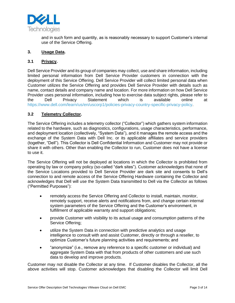

and in such form and quantity, as is reasonably necessary to support Customer's internal use of the Service Offering.

#### **3. Usage Data.**

#### **3.1 Privacy.**

Dell Service Provider and its group of companies may collect, use and share information, including limited personal information from Dell Service Provider customers in connection with the deployment of this Service Offering. Dell Service Provider will collect limited personal data when Customer utilizes the Service Offering and provides Dell Service Provider with details such as name, contact details and company name and location. For more information on how Dell Service Provider uses personal information, including how to exercise data subject rights, please refer to the Dell Privacy Statement which is available online at [https://www.dell.com/learn/us/en/uscorp1/policies-privacy-country-specific-privacy-policy.](https://www.dell.com/learn/us/en/uscorp1/policies-privacy-country-specific-privacy-policy)

#### **3.2 Telemetry Collector.**

The Service Offering includes a telemetry collector ("Collector") which gathers system information related to the hardware, such as diagnostics, configurations, usage characteristics, performance, and deployment location (collectively, "System Data"), and it manages the remote access and the exchange of the System Data with Dell Inc. or its applicable affiliates and service providers (together, "Dell"). This Collector is Dell Confidential Information and Customer may not provide or share it with others. Other than enabling the Collector to run, Customer does not have a license to use it.

The Service Offering will not be deployed at locations in which the Collector is prohibited from operating by law or company policy (so-called "dark sites"). Customer acknowledges that none of the Service Locations provided to Dell Service Provider are dark site and consents to Dell's connection to and remote access of the Service Offering Hardware containing the Collector and acknowledges that Dell will use the System Data transmitted to Dell via the Collector as follows ("Permitted Purposes"):

- remotely access the Service Offering and Collector to install, maintain, monitor, remotely support, receive alerts and notifications from, and change certain internal system parameters of the Service Offering and the Customer's environment, in fulfillment of applicable warranty and support obligations;
- provide Customer with visibility to its actual usage and consumption patterns of the Service Offering;
- utilize the System Data in connection with predictive analytics and usage intelligence to consult with and assist Customer, directly or through a reseller, to optimize Customer's future planning activities and requirements; and
- "anonymize" (i.e., remove any reference to a specific customer or individual) and aggregate System Data with that from products of other customers and use such data to develop and improve products.

Customer may not disable the Collector at any time. If Customer disables the Collector, all the above activities will stop. Customer acknowledges that disabling the Collector will limit Dell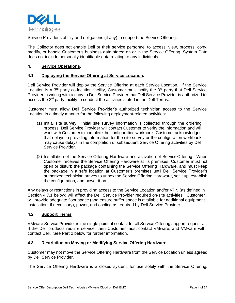

Service Provider's ability and obligations (if any) to support the Service Offering.

The Collector does not enable Dell or their service personnel to access, view, process, copy, modify, or handle Customer's business data stored on or in the Service Offering. System Data does not include personally identifiable data relating to any individuals.

#### **4. Service Operations.**

#### **4.1 Deploying the Service Offering at Service Location.**

Dell Service Provider will deploy the Service Offering at each Service Location. If the Service Location is a  $3<sup>rd</sup>$  party co-location facility, Customer must notify the  $3<sup>rd</sup>$  party that Dell Service Provider in writing with a copy to Dell Service Provider that Dell Service Provider is authorized to access the 3<sup>rd</sup> party facility to conduct the activities stated in the Dell Terms.

Customer must allow Dell Service Provider's authorized technician access to the Service Location in a timely manner for the following deployment-related activities:

- (1) Initial site survey. Initial site survey information is collected through the ordering process. Dell Service Provider will contact Customer to verify the information and will work with Customer to complete the configuration workbook. Customer acknowledges that delays in providing information for the site survey or the configuration workbook may cause delays in the completion of subsequent Service Offering activities by Dell Service Provider.
- (2) Installation of the Service Offering Hardware and activation of Service Offering. When Customer receives the Service Offering Hardware at its premises, Customer must not open or disturb the package containing the Service Offering Hardware, and must keep the package in a safe location at Customer's premises until Dell Service Provider's authorized technician arrives to unbox the Service Offering Hardware, set it up, establish the configuration, and power it on.

Any delays or restrictions in providing access to the Service Location and/or VPN (as defined in Section 4.7.1 below) will affect the Dell Service Provider required on-site activities. Customer will provide adequate floor space (and ensure buffer space is available for additional equipment installation, if necessary), power, and cooling as required by Dell Service Provider.

#### **4.2 Support Terms.**

VMware Service Provider is the single point of contact for all Service Offering support requests. If the Dell products require service, then Customer must contact VMware, and VMware will contact Dell. See Part 2 below for further information.

#### **4.3 Restriction on Moving or Modifying Service Offering Hardware.**

Customer may not move the Service Offering Hardware from the Service Location unless agreed by Dell Service Provider.

The Service Offering Hardware is a closed system, for use solely with the Service Offering.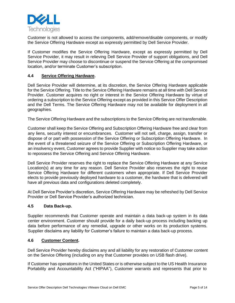

Customer is not allowed to access the components, add/remove/disable components, or modify the Service Offering Hardware except as expressly permitted by Dell Service Provider.

If Customer modifies the Service Offering Hardware, except as expressly permitted by Dell Service Provider, it may result in relieving Dell Service Provider of support obligations, and Dell Service Provider may choose to discontinue or suspend the Service Offering at the compromised location, and/or terminate Customer's subscription.

#### **4.4 Service Offering Hardware.**

Dell Service Provider will determine, at its discretion, the Service Offering Hardware applicable for the Service Offering. Title to the Service Offering Hardware remains at all time with Dell Service Provider. Customer acquires no right or interest in the Service Offering Hardware by virtue of ordering a subscription to the Service Offering except as provided in this Service Offer Description and the Dell Terms. The Service Offering Hardware may not be available for deployment in all geographies.

The Service Offering Hardware and the subscriptions to the Service Offering are not transferrable.

Customer shall keep the Service Offering and Subscription Offering Hardware free and clear from any liens, security interest or encumbrances. Customer will not sell, charge, assign, transfer or dispose of or part with possession of the Service Offering or Subscription Offering Hardware. In the event of a threatened seizure of the Service Offering or Subscription Offering Hardware, or an insolvency event, Customer agrees to provide Supplier with notice so Supplier may take action to repossess the Service Offering and Service Offering Hardware.

Dell Service Provider reserves the right to replace the Service Offering Hardware at any Service Location(s) at any time for any reason. Dell Service Provider also reserves the right to reuse Service Offering Hardware for different customers when appropriate. If Dell Service Provider elects to provide previously deployed hardware to a customer, the hardware that is delivered will have all previous data and configurations deleted completely.

At Dell Service Provider's discretion, Service Offering Hardware may be refreshed by Dell Service Provider or Dell Service Provider's authorized technician.

#### **4.5 Data Back-up.**

Supplier recommends that Customer operate and maintain a data back-up system in its data center environment. Customer should provide for a daily back-up process including backing up data before performance of any remedial, upgrade or other works on its production systems. Supplier disclaims any liability for Customer's failure to maintain a data back-up process.

#### **4.6 Customer Content.**

Dell Service Provider hereby disclaims any and all liability for any restoration of Customer content on the Service Offering (including on any that Customer provides on USB flash drive).

If Customer has operations in the United States or is otherwise subject to the US Health Insurance Portability and Accountability Act ("HIPAA"), Customer warrants and represents that prior to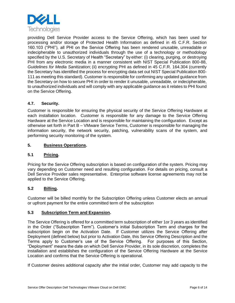

providing Dell Service Provider access to the Service Offering, which has been used for processing and/or storage of Protected Health Information as defined in 45 C.F.R. Section 160.103 ("PHI"), all PHI on the Service Offering has been rendered unusable, unreadable or indecipherable to unauthorized individuals through the use of a technology or methodology specified by the U.S. Secretary of Health "Secretary" by either: (i) clearing, purging, or destroying PHI from any electronic media in a manner consistent with NIST Special Publication 800-88, *Guidelines for Media Sanitization*; (ii) encrypting PHI as defined in 45 C.F.R. 164.304 (currently the Secretary has identified the process for encrypting data set out NIST Special Publication 800- 111 as meeting this standard). Customer is responsible for confirming any updated guidance from the Secretary on how to secure PHI in order to render it unusable, unreadable, or indecipherable, to unauthorized individuals and will comply with any applicable guidance as it relates to PHI found on the Service Offering.

#### **4.7. Security.**

Customer is responsible for ensuring the physical security of the Service Offering Hardware at each installation location. Customer is responsible for any damage to the Service Offering Hardware at the Service Location and is responsible for maintaining the configuration. Except as otherwise set forth in Part B – VMware Service Terms, Customer is responsible for managing the information security, the network security, patching, vulnerability scans of the system, and performing security monitoring of the system.

#### **5. Business Operations.**

#### **5.1 Pricing.**

Pricing for the Service Offering subscription is based on configuration of the system. Pricing may vary depending on Customer need and resulting configuration. For details on pricing, consult a Dell Service Provider sales representative. Enterprise software license agreements may not be applied to the Service Offering.

#### **5.2 Billing.**

Customer will be billed monthly for the Subscription Offering unless Customer elects an annual or upfront payment for the entire committed term of the subscription

#### **5.3 Subscription Term and Expansion.**

The Service Offering is offered for a committed term subscription of either 1or 3 years as identified in the Order ("Subscription Term"). Customer's initial Subscription Term and charges for the subscription begin on the Activation Date. If Customer utilizes the Service Offering after Deployment (defined below) but prior to Activation Date, this Service Offering Description and the Terms apply to Customer's use of the Service Offering. For purposes of this Section, "Deployment" means the date on which Dell Service Provider, in its sole discretion, completes the installation and establishes the configuration of the Service Offering Hardware at the Service Location and confirms that the Service Offering is operational.

If Customer desires additional capacity after the initial order, Customer may add capacity to the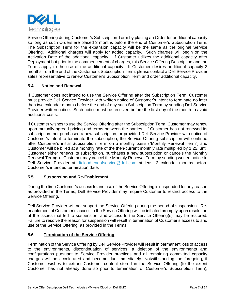

Service Offering during Customer's Subscription Term by placing an Order for additional capacity so long as such Orders are placed 3 months before the end of Customer's Subscription Term. The Subscription Term for the expansion capacity will be the same as the original Service Offering. Additional charges will apply for added capacity. Such charges will begin on the Activation Date of the additional capacity. If Customer utilizes the additional capacity after Deployment but prior to the commencement of charges, this Service Offering Description and the Terms apply to the use of the additional capacity. If Customer desires additional capacity 3 months from the end of the Customer's Subscription Term, please contact a Dell Service Provider sales representative to renew Customer's Subscription Term and order additional capacity.

#### **5.4 Notice and Renewal.**

If Customer does not intend to use the Service Offering after the Subscription Term, Customer must provide Dell Service Provider with written notice of Customer's intent to terminate no later than two calendar months before the end of any such Subscription Term by sending Dell Service Provider written notice. Such notice must be received before the first day of the month to avoid additional costs.

If Customer wishes to use the Service Offering after the Subscription Term, Customer may renew upon mutually agreed pricing and terms between the parties. If Customer has not renewed its subscription, not purchased a new subscription, or provided Dell Service Provider with notice of Customer's intent to terminate the subscription, the Service Offering subscription will continue after Customer's initial Subscription Term on a monthly basis ("Monthly Renewal Term") and Customer will be billed at a monthly rate of the then-current monthly rate multiplied by 1.25, until Customer either renews its subscription, purchases a new subscription or cancels the Monthly Renewal Term(s). Customer may cancel the Monthly Renewal Term by sending written notice to Dell Service Provider at [dtcloud.endofservice@dell.com](mailto:dtcloud.endofservice@dell.com) at least 2 calendar months before Customer's intended termination date.

#### **5.5 Suspension and Re-Enablement.**

During the time Customer's access to and use of the Service Offering is suspended for any reason as provided in the Terms, Dell Service Provider may require Customer to restrict access to the Service Offering.

Dell Service Provider will not support the Service Offering during the period of suspension. Reenablement of Customer's access to the Service Offering will be initiated promptly upon resolution of the issues that led to suspension, and access to the Service Offering(s) may be restored. Failure to resolve the reason for suspension will result in termination of Customer's access to and use of the Service Offering, as provided in the Terms.

#### **5.6 Termination of the Service Offering.**

Termination of the Service Offering by Dell Service Provider will result in permanent loss of access to the environments, discontinuation of services, a deletion of the environments and configurations pursuant to Service Provider practices and all remaining committed capacity charges will be accelerated and become due immediately. Notwithstanding the foregoing, if Customer wishes to extract Customer content stored in the Service Offering (to the extent Customer has not already done so prior to termination of Customer's Subscription Term),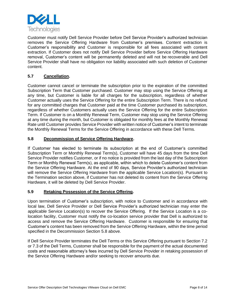

Customer must notify Dell Service Provider before Dell Service Provider's authorized technician removes the Service Offering Hardware from Customer's premises. Content extraction is Customer's responsibility and Customer is responsible for all fees associated with content extraction. If Customer does not notify Dell Service Provider before Service Offering Hardware removal, Customer's content will be permanently deleted and will not be recoverable and Dell Service Provider shall have no obligation nor liability associated with such deletion of Customer content.

#### **5.7 Cancellation.**

Customer cannot cancel or terminate the subscription prior to the expiration of the committed Subscription Term that Customer purchased. Customer may stop using the Service Offering at any time, but Customer is liable for all charges for the subscription, regardless of whether Customer actually uses the Service Offering for the entire Subscription Term. There is no refund for any committed charges that Customer paid at the time Customer purchased its subscription, regardless of whether Customers actually uses the Service Offering for the entire Subscription Term. If Customer is on a Monthly Renewal Term, Customer may stop using the Service Offering at any time during the month, but Customer is obligated for monthly fees at the Monthly Renewal Rate until Customer provides Service Provider with written notice of Customer's intent to terminate the Monthly Renewal Terms for the Service Offering in accordance with these Dell Terms.

#### **5.8 Decommission of Service Offering Hardware.**

If Customer has elected to terminate its subscription at the end of Customer's committed Subscription Term or Monthly Renewal Term(s), Customer will have 45 days from the time Dell Service Provider notifies Customer, or if no notice is provided from the last day of the Subscription Term or Monthly Renewal Term(s), as applicable, within which to delete Customer's content from the Service Offering Hardware. At the end of 90 days, Service Provider's authorized technician will remove the Service Offering Hardware from the applicable Service Location(s). Pursuant to the Termination section above, if Customer has not deleted its content from the Service Offering Hardware, it will be deleted by Dell Service Provider.

#### **5.9 Retaking Possession of the Service Offering.**

Upon termination of Customer's subscription, with notice to Customer and in accordance with local law, Dell Service Provider or Dell Service Provider's authorized technician may enter the applicable Service Location(s) to recover the Service Offering. If the Service Location is a colocation facility, Customer must notify the co-location service provider that Dell is authorized to access and remove the Service Offering Hardware. Customer is responsible for ensuring that Customer's content has been removed from the Service Offering Hardware, within the time period specified in the Decommission Section 5.8 above.

If Dell Service Provider terminates the Dell Terms or this Service Offering pursuant to Section 7.2 or 7.3 of the Dell Terms, Customer shall be responsible for the payment of the actual documented costs and reasonable attorney's fees incurred by Dell Service Provider in retaking possession of the Service Offering Hardware and/or seeking to recover amounts due.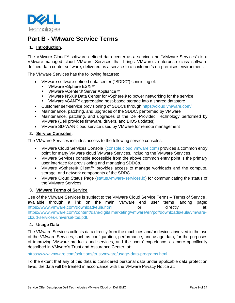

## **Part B - VMware Service Terms**

#### **1. Introduction.**

The VMware Cloud™ software defined data center as a service (the "VMware Services") is a VMware-managed cloud VMware Services that brings VMware's enterprise class software defined data center software, delivered as a service to a customer's on-premises environment.

The VMware Services has the following features:

- VMware software defined data center ("SDDC") consisting of:
	- VMware vSphere ESXi<sup>™</sup>
	- VMware vCenter® Server Appliance™
	- VMware NSX® Data Center for vSphere® to power networking for the service
	- VMware vSAN™ aggregating host-based storage into a shared datastore
- Customer self-service provisioning of SDDCs through<https://cloud.vmware.com/>
- Maintenance, patching, and upgrades of the SDDC, performed by VMware
- Maintenance, patching, and upgrades of the Dell-Provided Technology performed by VMware (Dell provides firmware, drivers, and BIOS updates)
- VMware SD-WAN cloud service used by VMware for remote management

#### **2. Service Consoles.**

The VMware Services includes access to the following service consoles:

- VMware Cloud Services Console [\(console.cloud.vmware.com\)](https://console.cloud.vmware.com/csp/gateway/discovery) provides a common entry point for many VMware cloud VMware Services, including the VMware Services.
- VMware Services console accessible from the above common entry point is the primary user interface for provisioning and managing SDDCs.
- VMware vSphere® Client™ provides access to manage workloads and the compute, storage, and network components of the SDDC.
- VMware Cloud Status Page [\(status.vmware-services.io\)](https://status.vmware-services.io/) for communicating the status of the VMware Services.

#### **3. VMware Terms of Service**

Use of the VMware Services is subject to the VMware Cloud Service Terms – Terms of Service , available through a link on the main VMware end user terms landing page: [https://www.vmware.com/download/eula.html,](https://www.vmware.com/download/eula.html) or directly at: [https://www.vmware.com/content/dam/digitalmarketing/vmware/en/pdf/downloads/eula/vmware](https://www.vmware.com/content/dam/digitalmarketing/vmware/en/pdf/downloads/eula/vmware-cloud-services-universal-tos.pdf)[cloud-services-universal-tos.pdf.](https://www.vmware.com/content/dam/digitalmarketing/vmware/en/pdf/downloads/eula/vmware-cloud-services-universal-tos.pdf)

#### **4. Usage Data**

The VMware Services collects data directly from the machines and/or devices involved in the use of the VMware Services, such as configuration, performance, and usage data, for the purposes of improving VMware products and services, and the users' experience, as more specifically described in VMware's Trust and Assurance Center, at:

#### [https://www.vmware.com/solutions/trustvmware/usage-data-programs.html.](https://www.vmware.com/solutions/trustvmware/usage-data-programs.html)

To the extent that any of this data is considered personal data under applicable data protection laws, the data will be treated in accordance with the VMware Privacy Notice at: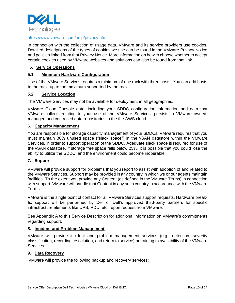

#### [https://www.vmware.com/help/privacy.html.](https://www.vmware.com/help/privacy.html)

In connection with the collection of usage data, VMware and its service providers use cookies. Detailed descriptions of the types of cookies we use can be found in the VMware Privacy Notice and policies linked from that Privacy Notice. More information on how to choose whether to accept certain cookies used by VMware websites and solutions can also be found from that link.

#### **5. Service Operations**

#### **5.1 Minimum Hardware Configuration**

Use of the VMware Services requires a minimum of one rack with three hosts. You can add hosts to the rack, up to the maximum supported by the rack.

#### **5.2 Service Location**

The VMware Services may not be available for deployment in all geographies.

VMware Cloud Console data, including your SDDC configuration information and data that VMware collects relating to your use of the VMware Services, persists in VMware owned, managed and controlled data repositories in the the AWS cloud.

#### **6. Capacity Management**

You are responsible for storage capacity management of your SDDCs. VMware requires that you must maintain 30% unused space ("slack space") in the vSAN datastore within the VMware Services, in order to support operation of the SDDC. Adequate slack space is required for use of the vSAN datastore. If storage free space falls below 25%, it is possible that you could lose the ability to utilize the SDDC, and the environment could become inoperable.

#### **7. Support**

VMware will provide support for problems that you report to assist with adoption of and related to the VMware Services. Support may be provided in any country in which we or our agents maintain facilities. To the extent you provide any Content (as defined in the VMware Terms) in connection with support, VMware will handle that Content in any such country in accordance with the VMware Terms.

VMware is the single point of contact for all VMware Services support requests. Hardware breakfix support will be performed by Dell or Dell's approved third-party partners for specific infrastructure elements like UPS, PDU, etc., upon request from VMware.

See Appendix A to this Service Description for additional information on VMware's commitments regarding support.

#### **8. Incident and Problem Management**

VMware will provide incident and problem management services (e.g., detection, severity classification, recording, escalation, and return to service) pertaining to availability of the VMware Services.

#### **9. Data Recovery**

VMware will provide the following backup and recovery services: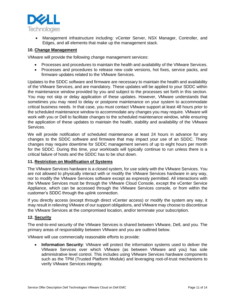

• Management infrastructure including: vCenter Server, NSX Manager, Controller, and Edges, and all elements that make up the management stack.

#### **10. Change Management**

VMware will provide the following change management services:

- Processes and procedures to maintain the health and availability of the VMware Services.
- Processes and procedures to release new code versions, hot fixes, service packs, and firmware updates related to the VMware Services.

Updates to the SDDC software and firmware are necessary to maintain the health and availability of the VMware Services, and are mandatory. These updates will be applied to your SDDC within the maintenance window provided by you and subject to the processes set forth in this section. You may not skip or delay application of these updates. However, VMware understands that sometimes you may need to delay or postpone maintenance on your system to accommodate critical business needs. In that case, you must contact VMware support at least 48 hours prior to the scheduled maintenance window to accommodate any changes you may require. VMware will work with you or Dell to facilitate changes to the scheduled maintenance window, while ensuring the application of these updates to maintain the health, stability and availability of the VMware Services.

We will provide notification of scheduled maintenance at least 24 hours in advance for any changes to the SDDC software and firmware that may impact your use of an SDDC. These changes may require downtime for SDDC management servers of up to eight hours per month for the SDDC. During this time, your workloads will typically continue to run unless there is a critical failure of hosts and the SDDC has to be shut down.

#### **11. Restriction on Modification of Systems**

The VMware Services hardware is a closed system, for use solely with the VMware Services. You are not allowed to physically interact with or modify the VMware Services hardware in any way, nor to modify the VMware Services software except as expressly permitted. All interactions with the VMware Services must be through the VMware Cloud Console, except the vCenter Service Appliance, which can be accessed through the VMware Services console, or from within the customer's SDDC through the uplink connection.

If you directly access (except through direct vCenter access) or modify the system any way, it may result in relieving VMware of our support obligations, and VMware may choose to discontinue the VMware Services at the compromised location, and/or terminate your subscription.

#### **12. Security**

The end-to-end security of the VMware Services is shared between VMware, Dell, and you. The primary areas of responsibility between VMware and you are outlined below.

VMware will use commercially reasonable efforts to provide:

• **Information Security**: VMware will protect the information systems used to deliver the VMware Services over which VMware (as between VMware and you) has sole administrative level control. This includes using VMware Services hardware components such as the TPM (Trusted Platform Module) and leveraging root-of-trust mechanisms to verify VMware Services integrity.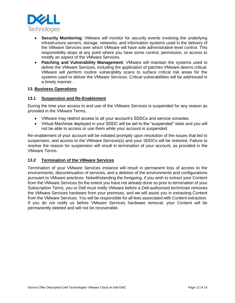

- **Security Monitoring:** VMware will monitor for security events involving the underlying infrastructure servers, storage, networks, and information systems used in the delivery of the VMware Services over which VMware will have sole administrative level control. This responsibility stops at any point where you have some control, permission, or access to modify an aspect of the VMware Services.
- **Patching and Vulnerability Management**: VMware will maintain the systems used to deliver the VMware Services, including the application of patches VMware deems critical. VMware will perform routine vulnerability scans to surface critical risk areas for the systems used to deliver the VMware Services. Critical vulnerabilities will be addressed in a timely manner.

#### **13. Business Operations**

#### **13.1 Suspension and Re-Enablement**

During the time your access to and use of the VMware Services is suspended for any reason as provided in the VMware Terms,

- VMware may restrict access to all your account's SDDCs and service consoles.
- Virtual Machines deployed in your SDDC will be set to the "suspended" state and you will not be able to access or use them while your account is suspended.

Re-enablement of your account will be initiated promptly upon resolution of the issues that led to suspension, and access to the VMware Services(s) and your SDDCs will be restored. Failure to resolve the reason for suspension will result in termination of your account, as provided in the VMware Terms.

#### **13.2 Termination of the VMware Services**

Termination of your VMware Services instance will result in permanent loss of access to the environments, discontinuation of services, and a deletion of the environments and configurations pursuant to VMware practices. Notwithstanding the foregoing, if you wish to extract your Content from the VMware Services (to the extent you have not already done so prior to termination of your Subscription Term), you or Dell must notify VMware before a Dell-authorized technician removes the VMware Services hardware from your premises, and we will assist you in extracting Content from the VMware Services. You will be responsible for all fees associated with Content extraction. If you do not notify us before VMware Services hardware removal, your Content will be permanently deleted and will not be recoverable.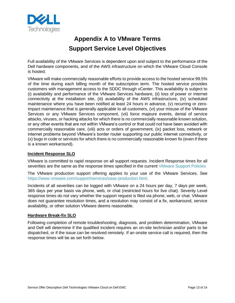

# **Appendix A to VMware Terms Support Service Level Objectives**

Full availability of the VMware Services is dependent upon and subject to the performance of the Dell hardware components, and of the AWS infrastructure on which the VMware Cloud Console is hosted.

VMware will make commercially reasonable efforts to provide access to the hosted service 99.5% of the time during each billing month of the subscription term. The hosted service provides customers with management access to the SDDC through vCenter. This availability is subject to (i) availability and performance of the VMware Services hardware, (ii) loss of power or internet connectivity at the installation site, (iii) availability of the AWS infrastructure, (iv) scheduled maintenance where you have been notified at least 24 hours in advance, (v) recurring or zeroimpact maintenance that is generally applicable to all customers, (vi) your misuse of the VMware Services or any VMware Services component, (vii) force majeure events, denial of service attacks, viruses, or hacking attacks for which there is no commercially reasonable known solution, or any other events that are not within VMware's control or that could not have been avoided with commercially reasonable care, (viii) acts or orders of government, (ix) packet loss, network or internet problems beyond VMware's border router supporting our public internet connectivity, or (x) bugs in code or services for which there is no commercially reasonable known fix (even if there is a known workaround).

#### **Incident Response SLO**

VMware is committed to rapid response on all support requests. Incident Response times for all severities are the same as the response times specified in the current [VMware Support Policies](https://www.vmware.com/support/policies.html)

The VMware production support offering applies to your use of the VMware Services. See [https://www.vmware.com/support/services/saas-production.html.](https://www.vmware.com/support/services/saas-production.html)

Incidents of all severities can be logged with VMware on a 24 hours per day, 7 days per week, 365 days per year basis via phone, web, or chat (restricted hours for live chat). Severity Level response times do not vary whether the support request is filed via phone, web, or chat. VMware does not guarantee resolution times, and a resolution may consist of a fix, workaround, service availability, or other solution VMware deems reasonable.

#### **Hardware Break-fix SLO**

Following completion of remote troubleshooting, diagnosis, and problem determination, VMware and Dell will determine if the qualified incident requires an on-site technician and/or parts to be dispatched, or if the issue can be resolved remotely. If an onsite service call is required, then the response times will be as set forth below.